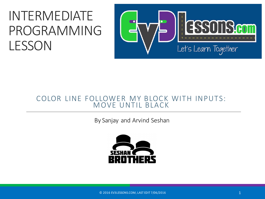#### INTERMEDIATE PROGRAMMING LESSON



#### COLOR LINE FOLLOWER MY BLOCK WITH INPUTS: MOVE UNTIL BLACK

By Sanjay and Arvind Seshan



© 2016 EV3LESSONS.COM, LAST EDIT 7/06/2016 1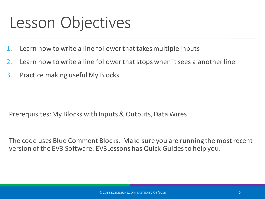#### Lesson Objectives

- 1. Learn how to write a line follower that takes multiple inputs
- 2. Learn how to write a line follower that stops when it sees a another line
- 3. Practice making useful My Blocks

Prerequisites: My Blocks with Inputs & Outputs, Data Wires

The code uses Blue Comment Blocks. Make sure you are running the most recent version of the EV3 Software. EV3Lessons has Quick Guides to help you.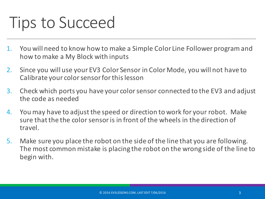### Tips to Succeed

- 1. You will need to know how to make a Simple Color Line Follower program and how to make a My Block with inputs
- 2. Since you will use your EV3 Color Sensor in Color Mode, you will not have to Calibrate your color sensor for this lesson
- 3. Check which ports you have your color sensor connected to the EV3 and adjust the code as needed
- 4. You may have to adjust the speed or direction to work for your robot. Make sure that the the color sensor is in front of the wheels in the direction of travel.
- 5. Make sure you place the robot on the side of the line that you are following. The most common mistake is placing the robot on the wrong side of the line to begin with.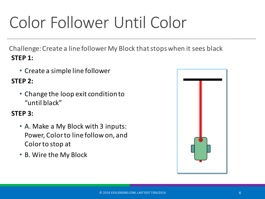# Color Follower Until Color

Challenge: Create a line follower My Block that stops when it sees black **STEP 1:** 

• Create a simple line follower

#### **STEP 2:**

• Change the loop exit condition to "until black"

#### **STEP 3:**

- A. Make a My Block with 3 inputs: Power, Color to line follow on, and Color to stop at
- B. Wire the My Block

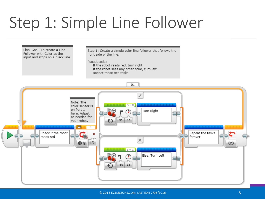### Step 1: Simple Line Follower

Final Goal: To create a Line Follower with Color as the input and stops on a black line. Step 1: Create a simple color line follower that follows the right side of the line.

Pseudocode:

If the robot reads red, turn right If the robot sees any other color, turn left Repeat these two tasks

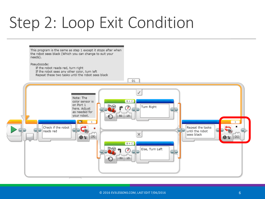### Step 2: Loop Exit Condition

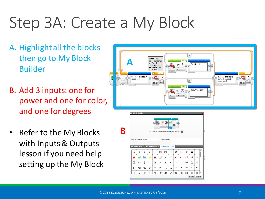## Step 3A: Create a My Block

- A. Highlight all the blocks then go to My Block Builder
- B. Add 3 inputs: one for power and one for color, and one for degrees
- Refer to the My Blocks with Inputs & Outputs lesson if you need help setting up the My Block

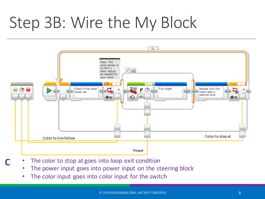### Step 3B: Wire the My Block



- The color to stop at goes into loop exit condition
	- The power input goes into power input on the steering block
	- The color input goes into color input for the switch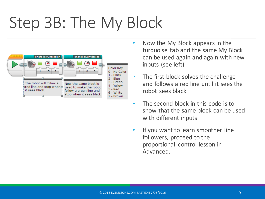# Step 3B: The My Block



- Now the My Block appears in the turquoise tab and the same My Block can be used again and again with new inputs (see left)
	- The first block solves the challenge and follows a red line until it sees the robot sees black
- The second block in this code is to show that the same block can be used with different inputs
- If you want to learn smoother line followers, proceed to the proportional control lesson in Advanced.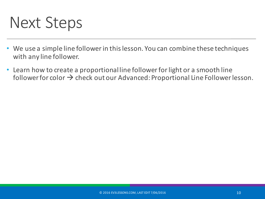#### Next Steps

- We use a simple line follower in this lesson. You can combine these techniques with any line follower.
- Learn how to create a proportional line follower for light or a smooth line follower for color  $\rightarrow$  check out our Advanced: Proportional Line Follower lesson.